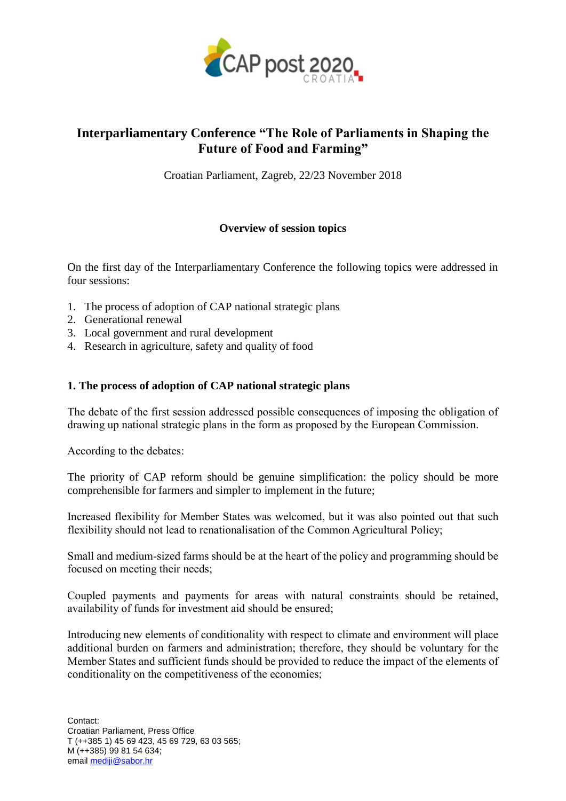

# **Interparliamentary Conference "The Role of Parliaments in Shaping the Future of Food and Farming"**

Croatian Parliament, Zagreb, 22/23 November 2018

# **Overview of session topics**

On the first day of the Interparliamentary Conference the following topics were addressed in four sessions:

- 1. The process of adoption of CAP national strategic plans
- 2. Generational renewal
- 3. Local government and rural development
- 4. Research in agriculture, safety and quality of food

### **1. The process of adoption of CAP national strategic plans**

The debate of the first session addressed possible consequences of imposing the obligation of drawing up national strategic plans in the form as proposed by the European Commission.

According to the debates:

The priority of CAP reform should be genuine simplification: the policy should be more comprehensible for farmers and simpler to implement in the future;

Increased flexibility for Member States was welcomed, but it was also pointed out that such flexibility should not lead to renationalisation of the Common Agricultural Policy;

Small and medium-sized farms should be at the heart of the policy and programming should be focused on meeting their needs;

Coupled payments and payments for areas with natural constraints should be retained, availability of funds for investment aid should be ensured;

Introducing new elements of conditionality with respect to climate and environment will place additional burden on farmers and administration; therefore, they should be voluntary for the Member States and sufficient funds should be provided to reduce the impact of the elements of conditionality on the competitiveness of the economies;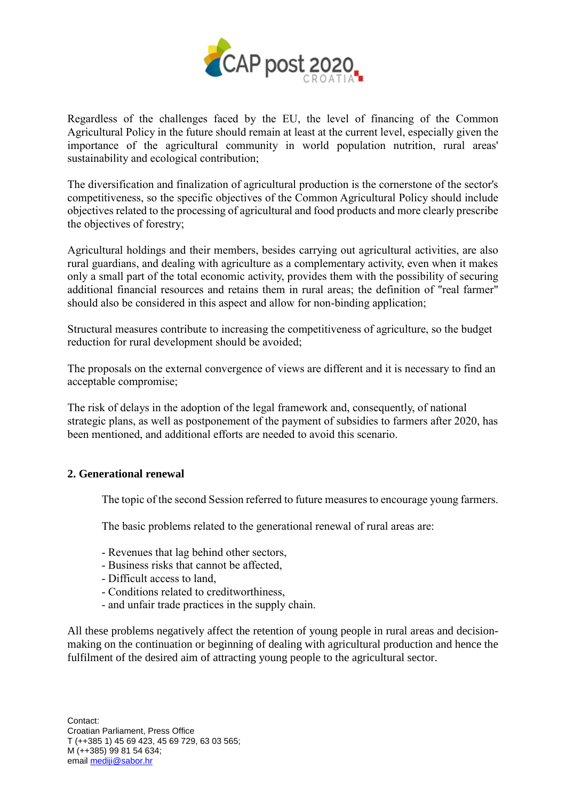

Regardless of the challenges faced by the EU, the level of financing of the Common Agricultural Policy in the future should remain at least at the current level, especially given the importance of the agricultural community in world population nutrition, rural areas' sustainability and ecological contribution;

The diversification and finalization of agricultural production is the cornerstone of the sector's competitiveness, so the specific objectives of the Common Agricultural Policy should include objectives related to the processing of agricultural and food products and more clearly prescribe the objectives of forestry;

Agricultural holdings and their members, besides carrying out agricultural activities, are also rural guardians, and dealing with agriculture as a complementary activity, even when it makes only a small part of the total economic activity, provides them with the possibility of securing additional financial resources and retains them in rural areas; the definition of "real farmer" should also be considered in this aspect and allow for non-binding application;

Structural measures contribute to increasing the competitiveness of agriculture, so the budget reduction for rural development should be avoided;

The proposals on the external convergence of views are different and it is necessary to find an acceptable compromise;

The risk of delays in the adoption of the legal framework and, consequently, of national strategic plans, as well as postponement of the payment of subsidies to farmers after 2020, has been mentioned, and additional efforts are needed to avoid this scenario.

# **2. Generational renewal**

The topic of the second Session referred to future measures to encourage young farmers.

The basic problems related to the generational renewal of rural areas are:

- Revenues that lag behind other sectors,
- Business risks that cannot be affected,
- Difficult access to land,
- Conditions related to creditworthiness,
- and unfair trade practices in the supply chain.

All these problems negatively affect the retention of young people in rural areas and decisionmaking on the continuation or beginning of dealing with agricultural production and hence the fulfilment of the desired aim of attracting young people to the agricultural sector.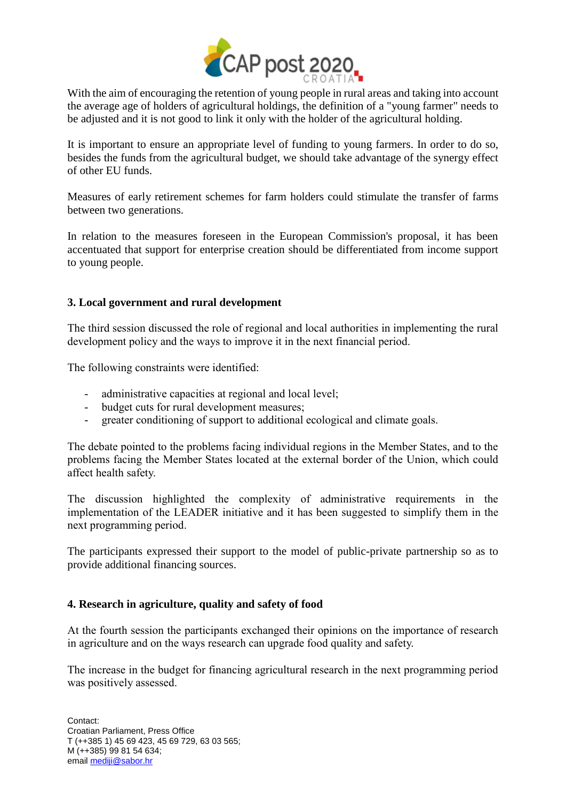

With the aim of encouraging the retention of young people in rural areas and taking into account the average age of holders of agricultural holdings, the definition of a "young farmer" needs to be adjusted and it is not good to link it only with the holder of the agricultural holding.

It is important to ensure an appropriate level of funding to young farmers. In order to do so, besides the funds from the agricultural budget, we should take advantage of the synergy effect of other EU funds.

Measures of early retirement schemes for farm holders could stimulate the transfer of farms between two generations.

In relation to the measures foreseen in the European Commission's proposal, it has been accentuated that support for enterprise creation should be differentiated from income support to young people.

### **3. Local government and rural development**

The third session discussed the role of regional and local authorities in implementing the rural development policy and the ways to improve it in the next financial period.

The following constraints were identified:

- administrative capacities at regional and local level;
- budget cuts for rural development measures;
- greater conditioning of support to additional ecological and climate goals.

The debate pointed to the problems facing individual regions in the Member States, and to the problems facing the Member States located at the external border of the Union, which could affect health safety.

The discussion highlighted the complexity of administrative requirements in the implementation of the LEADER initiative and it has been suggested to simplify them in the next programming period.

The participants expressed their support to the model of public-private partnership so as to provide additional financing sources.

# **4. Research in agriculture, quality and safety of food**

At the fourth session the participants exchanged their opinions on the importance of research in agriculture and on the ways research can upgrade food quality and safety.

The increase in the budget for financing agricultural research in the next programming period was positively assessed.